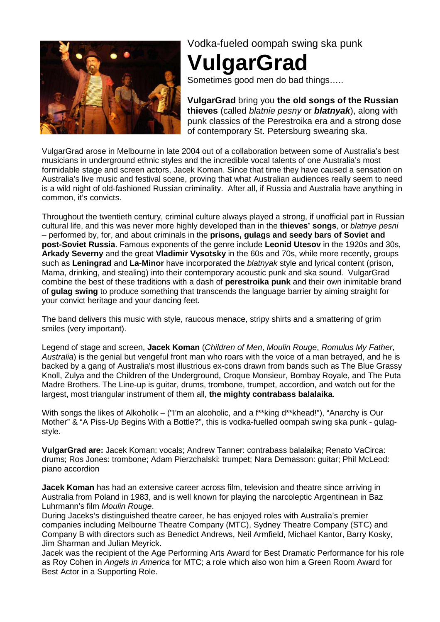

Vodka-fueled oompah swing ska punk

## **VulgarGrad**

Sometimes good men do bad things.....

**VulgarGrad** bring you **the old songs of the Russian thieves** (called blatnie pesny or **blatnyak**), along with punk classics of the Perestroika era and a strong dose of contemporary St. Petersburg swearing ska.

VulgarGrad arose in Melbourne in late 2004 out of a collaboration between some of Australia's best musicians in underground ethnic styles and the incredible vocal talents of one Australia's most formidable stage and screen actors, Jacek Koman. Since that time they have caused a sensation on Australia's live music and festival scene, proving that what Australian audiences really seem to need is a wild night of old-fashioned Russian criminality. After all, if Russia and Australia have anything in common, it's convicts.

Throughout the twentieth century, criminal culture always played a strong, if unofficial part in Russian cultural life, and this was never more highly developed than in the **thieves' songs**, or blatnye pesni – performed by, for, and about criminals in the **prisons, gulags and seedy bars of Soviet and post-Soviet Russia**. Famous exponents of the genre include **Leonid Utesov** in the 1920s and 30s, **Arkady Severny** and the great **Vladimir Vysotsky** in the 60s and 70s, while more recently, groups such as **Leningrad** and **La-Minor** have incorporated the blatnyak style and lyrical content (prison, Mama, drinking, and stealing) into their contemporary acoustic punk and ska sound. VulgarGrad combine the best of these traditions with a dash of **perestroika punk** and their own inimitable brand of **gulag swing** to produce something that transcends the language barrier by aiming straight for your convict heritage and your dancing feet.

The band delivers this music with style, raucous menace, stripy shirts and a smattering of grim smiles (very important).

Legend of stage and screen, **Jacek Koman** (Children of Men, Moulin Rouge, Romulus My Father, Australia) is the genial but vengeful front man who roars with the voice of a man betrayed, and he is backed by a gang of Australia's most illustrious ex-cons drawn from bands such as The Blue Grassy Knoll, Zulya and the Children of the Underground, Croque Monsieur, Bombay Royale, and The Puta Madre Brothers. The Line-up is guitar, drums, trombone, trumpet, accordion, and watch out for the largest, most triangular instrument of them all, **the mighty contrabass balalaika**.

With songs the likes of Alkoholik – ("I'm an alcoholic, and a f\*\*king d\*\*khead!"), "Anarchy is Our Mother" & "A Piss-Up Begins With a Bottle?", this is vodka-fuelled oompah swing ska punk - gulagstyle.

**VulgarGrad are:** Jacek Koman: vocals; Andrew Tanner: contrabass balalaika; Renato VaCirca: drums; Ros Jones: trombone; Adam Pierzchalski: trumpet; Nara Demasson: guitar; Phil McLeod: piano accordion

**Jacek Koman** has had an extensive career across film, television and theatre since arriving in Australia from Poland in 1983, and is well known for playing the narcoleptic Argentinean in Baz Luhrmann's film Moulin Rouge.

During Jaceks's distinguished theatre career, he has enjoyed roles with Australia's premier companies including Melbourne Theatre Company (MTC), Sydney Theatre Company (STC) and Company B with directors such as Benedict Andrews, Neil Armfield, Michael Kantor, Barry Kosky, Jim Sharman and Julian Meyrick.

Jacek was the recipient of the Age Performing Arts Award for Best Dramatic Performance for his role as Roy Cohen in Angels in America for MTC; a role which also won him a Green Room Award for Best Actor in a Supporting Role.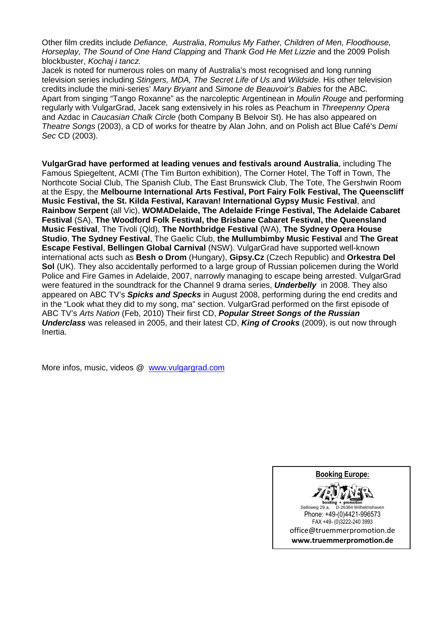Other film credits include Defiance, Australia, Romulus My Father, Children of Men, Floodhouse, Horseplay, The Sound of One Hand Clapping and Thank God He Met Lizzie and the 2009 Polish blockbuster, Kochaj i tancz.

Jacek is noted for numerous roles on many of Australia's most recognised and long running television series including Stingers, MDA, The Secret Life of Us and Wildside. His other television credits include the mini-series' Mary Bryant and Simone de Beauvoir's Babies for the ABC. Apart from singing "Tango Roxanne" as the narcoleptic Argentinean in Moulin Rouge and performing regularly with VulgarGrad, Jacek sang extensively in his roles as Peachum in Threepenny Opera and Azdac in Caucasian Chalk Circle (both Company B Belvoir St). He has also appeared on Theatre Songs (2003), a CD of works for theatre by Alan John, and on Polish act Blue Café's Demi Sec CD (2003).

**VulgarGrad have performed at leading venues and festivals around Australia**, including The Famous Spiegeltent, ACMI (The Tim Burton exhibition), The Corner Hotel, The Toff in Town, The Northcote Social Club, The Spanish Club, The East Brunswick Club, The Tote, The Gershwin Room at the Espy, the **Melbourne International Arts Festival, Port Fairy Folk Festival, The Queenscliff Music Festival, the St. Kilda Festival, Karavan! International Gypsy Music Festival**, and **Rainbow Serpent** (all Vic), **WOMADelaide, The Adelaide Fringe Festival, The Adelaide Cabaret Festival** (SA), **The Woodford Folk Festival, the Brisbane Cabaret Festival, the Queensland Music Festival**, The Tivoli (Qld), **The Northbridge Festival** (WA), **The Sydney Opera House Studio**, **The Sydney Festival**, The Gaelic Club, **the Mullumbimby Music Festival** and **The Great Escape Festival**, **Bellingen Global Carnival** (NSW). VulgarGrad have supported well-known international acts such as **Besh o Drom** (Hungary), **Gipsy.Cz** (Czech Republic) and **Orkestra Del Sol** (UK). They also accidentally performed to a large group of Russian policemen during the World Police and Fire Games in Adelaide, 2007, narrowly managing to escape being arrested. VulgarGrad were featured in the soundtrack for the Channel 9 drama series, **Underbelly** in 2008. They also appeared on ABC TV's **Spicks and Specks** in August 2008, performing during the end credits and in the "Look what they did to my song, ma" section. VulgarGrad performed on the first episode of ABC TV's Arts Nation (Feb, 2010) Their first CD, **Popular Street Songs of the Russian Underclass** was released in 2005, and their latest CD, **King of Crooks** (2009), is out now through Inertia.

More infos, music, videos @ www.vulgargrad.com